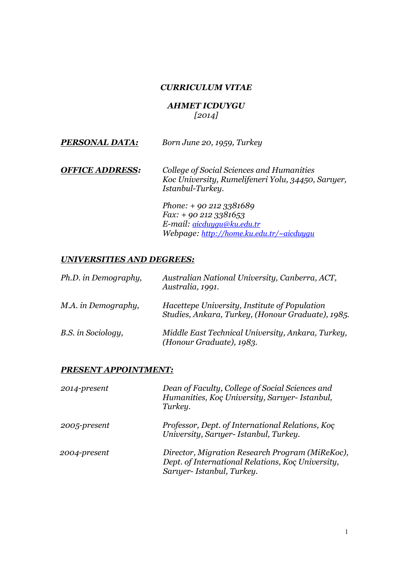### *CURRICULUM VITAE*

### *AHMET ICDUYGU [2014]*

| PERSONAL DATA: | Born June 20, 1959, Turkey |
|----------------|----------------------------|
|                |                            |

*OFFICE ADDRESS: College of Social Sciences and Humanities Koc University, Rumelifeneri Yolu, 34450, Sarıyer, Istanbul-Turkey.*

> *Phone: + 90 212 3381689 Fax: + 90 212 3381653 E-mail: aicduygu@ku.edu.tr Webpage: http://home.ku.edu.tr/~aicduygu*

## *UNIVERSITIES AND DEGREES:*

| Ph.D. in Demography, | Australian National University, Canberra, ACT,<br>Australia, 1991.                                 |
|----------------------|----------------------------------------------------------------------------------------------------|
| M.A. in Demography,  | Hacettepe University, Institute of Population<br>Studies, Ankara, Turkey, (Honour Graduate), 1985. |
| B.S. in Sociology,   | Middle East Technical University, Ankara, Turkey,<br>(Honour Graduate), 1983.                      |

### *PRESENT APPOINTMENT:*

| 2014-present | Dean of Faculty, College of Social Sciences and<br>Humanities, Koç University, Sarıyer- Istanbul,<br>Turkey.                     |
|--------------|----------------------------------------------------------------------------------------------------------------------------------|
| 2005-present | Professor, Dept. of International Relations, Koc<br>University, Sarıyer- Istanbul, Turkey.                                       |
| 2004-present | Director, Migration Research Program (MiReKoc),<br>Dept. of International Relations, Koç University,<br>Saruer-Istanbul, Turkey. |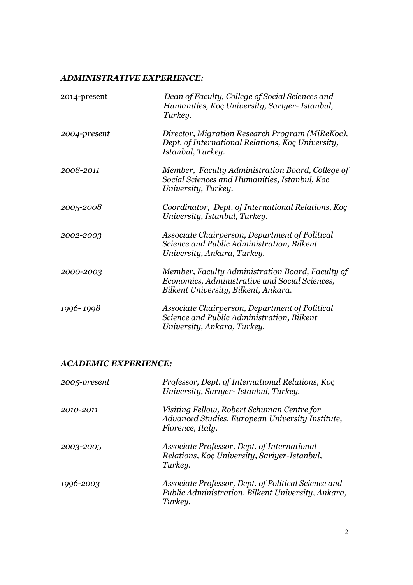# *ADMINISTRATIVE EXPERIENCE:*

| 2014-present | Dean of Faculty, College of Social Sciences and<br>Humanities, Koç University, Sarıyer- Istanbul,<br>Turkey.                               |
|--------------|--------------------------------------------------------------------------------------------------------------------------------------------|
| 2004-present | Director, Migration Research Program (MiReKoc),<br>Dept. of International Relations, Koç University,<br>Istanbul, Turkey.                  |
| 2008-2011    | Member, Faculty Administration Board, College of<br>Social Sciences and Humanities, Istanbul, Koc<br>University, Turkey.                   |
| 2005-2008    | Coordinator, Dept. of International Relations, Koç<br>University, Istanbul, Turkey.                                                        |
| 2002-2003    | Associate Chairperson, Department of Political<br>Science and Public Administration, Bilkent<br>University, Ankara, Turkey.                |
| 2000-2003    | Member, Faculty Administration Board, Faculty of<br>Economics, Administrative and Social Sciences,<br>Bilkent University, Bilkent, Ankara. |
| 1996-1998    | Associate Chairperson, Department of Political<br>Science and Public Administration, Bilkent<br>University, Ankara, Turkey.                |

# *ACADEMIC EXPERIENCE:*

| 2005-present | Professor, Dept. of International Relations, Koç<br>University, Saruyer- Istanbul, Turkey.                           |
|--------------|----------------------------------------------------------------------------------------------------------------------|
| 2010-2011    | Visiting Fellow, Robert Schuman Centre for<br>Advanced Studies, European University Institute,<br>Florence, Italy.   |
| 2003-2005    | Associate Professor, Dept. of International<br>Relations, Koç University, Sariyer-Istanbul,<br>Turkey.               |
| 1996-2003    | Associate Professor, Dept. of Political Science and<br>Public Administration, Bilkent University, Ankara,<br>Turkey. |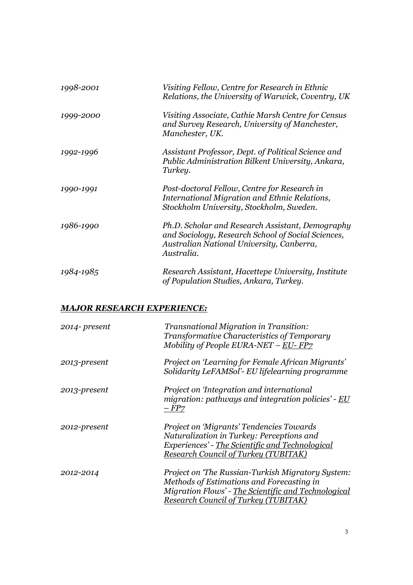| 1998-2001 | Visiting Fellow, Centre for Research in Ethnic<br>Relations, the University of Warwick, Coventry, UK                                                              |
|-----------|-------------------------------------------------------------------------------------------------------------------------------------------------------------------|
| 1999-2000 | Visiting Associate, Cathie Marsh Centre for Census<br>and Survey Research, University of Manchester,<br>Manchester, UK.                                           |
| 1992-1996 | Assistant Professor, Dept. of Political Science and<br>Public Administration Bilkent University, Ankara,<br>Turkey.                                               |
| 1990-1991 | Post-doctoral Fellow, Centre for Research in<br>International Migration and Ethnic Relations,<br>Stockholm University, Stockholm, Sweden.                         |
| 1986-1990 | Ph.D. Scholar and Research Assistant, Demography<br>and Sociology, Research School of Social Sciences,<br>Australian National University, Canberra,<br>Australia. |
| 1984-1985 | Research Assistant, Hacettepe University, Institute<br>of Population Studies, Ankara, Turkey.                                                                     |

# *MAJOR RESEARCH EXPERIENCE:*

| 2014- present | Transnational Migration in Transition:<br>Transformative Characteristics of Temporary<br>Mobility of People EURA-NET – EU- $FP7$                                                               |
|---------------|------------------------------------------------------------------------------------------------------------------------------------------------------------------------------------------------|
| 2013-present  | Project on 'Learning for Female African Migrants'<br>Solidarity LeFAMSol'- EU lifelearning programme                                                                                           |
| 2013-present  | Project on 'Integration and international<br>migration: pathways and integration policies' - EU<br>$-FP7$                                                                                      |
| 2012-present  | <b>Project on 'Migrants' Tendencies Towards</b><br>Naturalization in Turkey: Perceptions and<br>Experiences' - The Scientific and Technological<br><b>Research Council of Turkey (TUBITAK)</b> |
| 2012-2014     | Project on 'The Russian-Turkish Migratory System:<br>Methods of Estimations and Forecasting in<br>Migration Flows' - The Scientific and Technological<br>Research Council of Turkey (TUBITAK)  |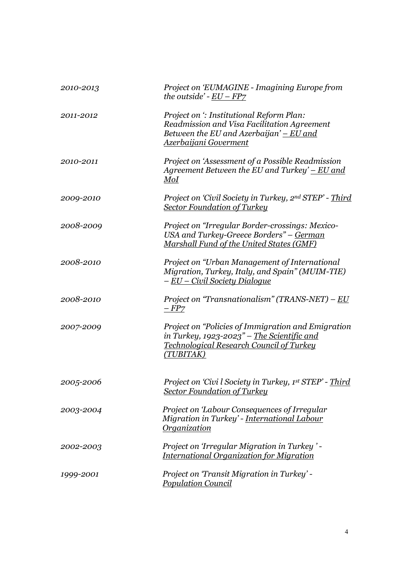| 2010-2013 | Project on 'EUMAGINE - Imagining Europe from<br>the outside' - $EU - FPZ$                                                                                            |
|-----------|----------------------------------------------------------------------------------------------------------------------------------------------------------------------|
| 2011-2012 | Project on ': Institutional Reform Plan:<br>Readmission and Visa Facilitation Agreement<br>Between the EU and Azerbaijan' $-EU$ and<br><u> Azerbaijani Goverment</u> |
| 2010-2011 | Project on 'Assessment of a Possible Readmission<br>Agreement Between the EU and Turkey' $-EU$ and<br>M o I                                                          |
| 2009-2010 | Project on 'Civil Society in Turkey, 2nd STEP' - Third<br><u>Sector Foundation of Turkey</u>                                                                         |
| 2008-2009 | Project on "Irregular Border-crossings: Mexico-<br>USA and Turkey-Greece Borders" – German<br>Marshall Fund of the United States (GMF)                               |
| 2008-2010 | Project on "Urban Management of International<br>Migration, Turkey, Italy, and Spain" (MUIM-TIE)<br><u>– EU – Civil Society Dialogue</u>                             |
| 2008-2010 | Project on "Transnationalism" (TRANS-NET) – EU<br>$-FPZ$                                                                                                             |
| 2007-2009 | Project on "Policies of Immigration and Emigration<br>in Turkey, 1923-2023" – The Scientific and<br><b>Technological Research Council of Turkey</b><br>(TUBITAK)     |
| 2005-2006 | Project on 'Civi l Society in Turkey, 1st STEP' - Third<br><u>Sector Foundation of Turkey</u>                                                                        |
| 2003-2004 | Project on 'Labour Consequences of Irregular<br>Migration in Turkey' - International Labour<br><b>Organization</b>                                                   |
| 2002-2003 | Project on 'Irregular Migration in Turkey' -<br><b>International Organization for Migration</b>                                                                      |
| 1999-2001 | Project on 'Transit Migration in Turkey' -<br><b>Population Council</b>                                                                                              |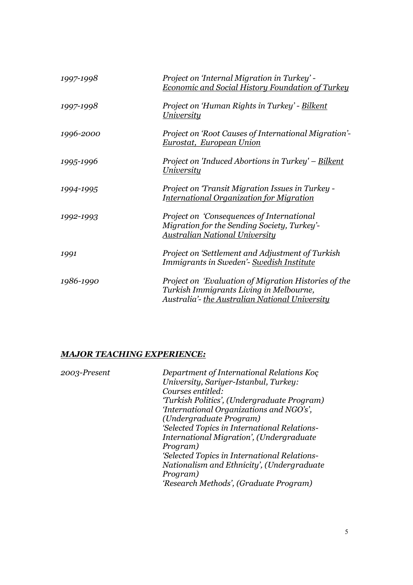| 1997-1998 | Project on 'Internal Migration in Turkey' -<br><b>Economic and Social History Foundation of Turkey</b>                                            |
|-----------|---------------------------------------------------------------------------------------------------------------------------------------------------|
| 1997-1998 | Project on 'Human Rights in Turkey' - Bilkent<br><u>University</u>                                                                                |
| 1996-2000 | Project on 'Root Causes of International Migration'-<br><u>Eurostat, European Union</u>                                                           |
| 1995-1996 | Project on 'Induced Abortions in Turkey' – Bilkent<br><b>University</b>                                                                           |
| 1994-1995 | Project on 'Transit Migration Issues in Turkey -<br><b>International Organization for Migration</b>                                               |
| 1992-1993 | Project on 'Consequences of International<br>Migration for the Sending Society, Turkey'-<br><u> Australian National University</u>                |
| 1991      | Project on 'Settlement and Adjustment of Turkish<br>Immigrants in Sweden'- Swedish Institute                                                      |
| 1986-1990 | Project on 'Evaluation of Migration Histories of the<br>Turkish Immigrants Living in Melbourne,<br>Australia'- the Australian National University |

# *MAJOR TEACHING EXPERIENCE:*

| 2003-Present | Department of International Relations Koc    |
|--------------|----------------------------------------------|
|              | University, Sariyer-Istanbul, Turkey:        |
|              | Courses entitled:                            |
|              | 'Turkish Politics', (Undergraduate Program)  |
|              | 'International Organizations and NGO's',     |
|              | (Undergraduate Program)                      |
|              | 'Selected Topics in International Relations- |
|              | International Migration', (Undergraduate     |
|              | Program)                                     |
|              | 'Selected Topics in International Relations- |
|              | Nationalism and Ethnicity', (Undergraduate   |
|              | Program)                                     |
|              | 'Research Methods', (Graduate Program)       |
|              |                                              |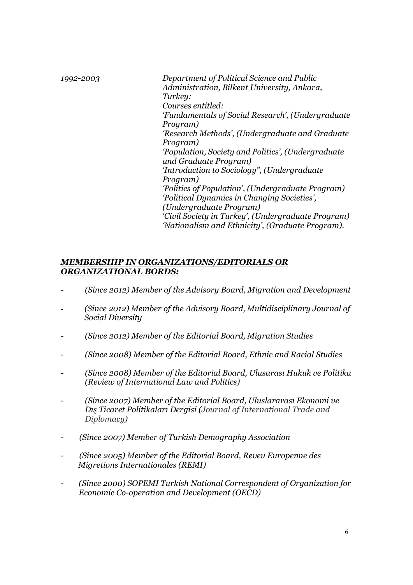| 1992-2003 | Department of Political Science and Public<br>Administration, Bilkent University, Ankara, |
|-----------|-------------------------------------------------------------------------------------------|
|           | Turkey:                                                                                   |
|           | Courses entitled:                                                                         |
|           | 'Fundamentals of Social Research', (Undergraduate                                         |
|           | Program)                                                                                  |
|           | 'Research Methods', (Undergraduate and Graduate                                           |
|           | Program)                                                                                  |
|           | 'Population, Society and Politics', (Undergraduate)                                       |
|           | and Graduate Program)                                                                     |
|           | 'Introduction to Sociology", (Undergraduate                                               |
|           | Program)                                                                                  |
|           | 'Politics of Population', (Undergraduate Program)                                         |
|           | 'Political Dynamics in Changing Societies',                                               |
|           | (Undergraduate Program)                                                                   |
|           | 'Civil Society in Turkey', (Undergraduate Program)                                        |
|           | 'Nationalism and Ethnicity', (Graduate Program).                                          |

## *MEMBERSHIP IN ORGANIZATIONS/EDITORIALS OR ORGANIZATIONAL BORDS:*

- *- (Since 2012) Member of the Advisory Board, Migration and Development*
- *(Since 2012) Member of the Advisory Board, Multidisciplinary Journal of Social Diversity*
- *- (Since 2012) Member of the Editorial Board, Migration Studies*
- *- (Since 2008) Member of the Editorial Board, Ethnic and Racial Studies*
- *- (Since 2008) Member of the Editorial Board, Ulusarası Hukuk ve Politika (Review of International Law and Politics)*
- *- (Since 2007) Member of the Editorial Board, Uluslararası Ekonomi ve Dış Ticaret Politikaları Dergisi (Journal of International Trade and Diplomacy)*
- *(Since 2007) Member of Turkish Demography Association*
- *(Since 2005) Member of the Editorial Board, Reveu Europenne des Migretions Internationales (REMI)*
- *- (Since 2000) SOPEMI Turkish National Correspondent of Organization for Economic Co-operation and Development (OECD)*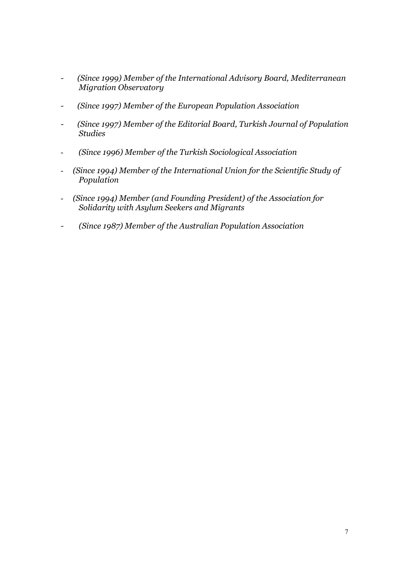- *(Since 1999) Member of the International Advisory Board, Mediterranean Migration Observatory*
- *(Since 1997) Member of the European Population Association*
- *(Since 1997) Member of the Editorial Board, Turkish Journal of Population Studies*
- - *(Since 1996) Member of the Turkish Sociological Association*
- *(Since 1994) Member of the International Union for the Scientific Study of Population*
- *(Since 1994) Member (and Founding President) of the Association for Solidarity with Asylum Seekers and Migrants*
- *(Since 1987) Member of the Australian Population Association*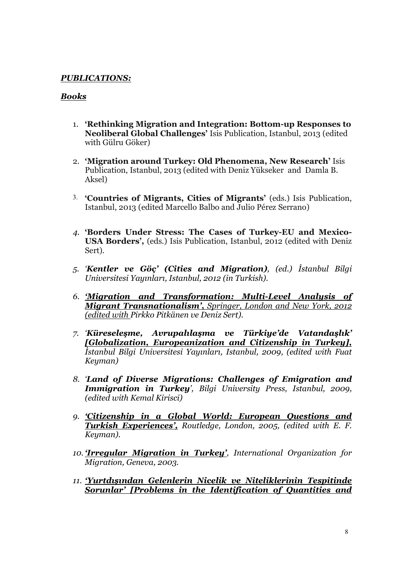## *PUBLICATIONS:*

## *Books*

- 1. 'Rethinking Migration and Integration: Bottom-up Responses to Neoliberal Global Challenges' Isis Publication, Istanbul, 2013 (edited with Gülru Göker)
- 2. 'Migration around Turkey: Old Phenomena, New Research' Isis Publication, Istanbul, 2013 (edited with Deniz Yükseker and Damla B. Aksel)
- 3. 'Countries of Migrants, Cities of Migrants' (eds.) Isis Publication, Istanbul, 2013 (edited Marcello Balbo and Julio Pérez Serrano)
- *4.* 'Borders Under Stress: The Cases of Turkey-EU and Mexico-USA Borders', (eds.) Isis Publication, Istanbul, 2012 (edited with Deniz Sert).
- *5. 'Kentler ve Göç' (Cities and Migration), (ed.) İstanbul Bilgi Universitesi Yayınları, Istanbul, 2012 (in Turkish).*
- *6. 'Migration and Transformation: Multi-Level Analysis of Migrant Transnationalism'*, *Springer, London and New York, 2012 (edited with Pirkko Pitkänen ve Deniz Sert).*
- *7. 'Küreseleşme, Avrupalılaşma ve Türkiye'de Vatandaşlık' [Globalization, Europeanization and Citizenship in Turkey], İstanbul Bilgi Universitesi Yayınları, Istanbul, 2009, (edited with Fuat Keyman)*
- *8. 'Land of Diverse Migrations: Challenges of Emigration and Immigration in Turkey', Bilgi University Press, Istanbul, 2009, (edited with Kemal Kirisci)*
- *9. 'Citizenship in a Global World: European Questions and Turkish Experiences', Routledge, London, 2005, (edited with E. F. Keyman).*
- *10. 'Irregular Migration in Turkey', International Organization for Migration, Geneva, 2003.*
- *11. 'Yurtdışından Gelenlerin Nicelik ve Niteliklerinin Tespitinde Sorunlar' [Problems in the Identification of Quantities and*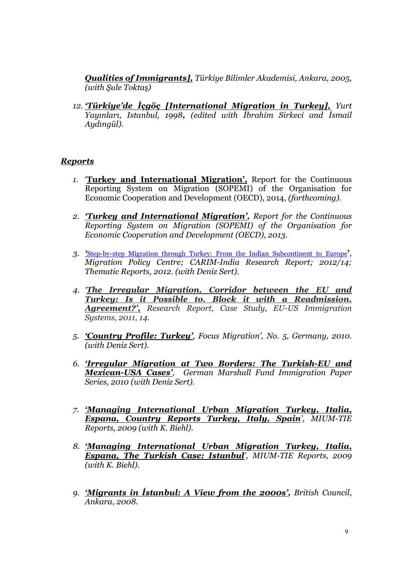*Qualities of Immigrants], Türkiye Bilimler Akademisi, Ankara, 2005, (with Şule Toktaş)*

*12. 'Türkiye'de İçgöç [International Migration in Turkey], Yurt Yayınları, Istanbul, 1998, (edited with İbrahim Sirkeci and İsmail Aydıngül).*

### *Reports*

- *1.* 'Turkey and International Migration', Report for the Continuous Reporting System on Migration (SOPEMI) of the Organisation for Economic Cooperation and Development (OECD), 2014, *(forthcoming).*
- *2. 'Turkey and International Migration', Report for the Continuous Reporting System on Migration (SOPEMI) of the Organisation for Economic Cooperation and Development (OECD), 2013.*
- *3. '*Step-by-step Migration through Turkey: From the Indian Subcontinent to Europe'*, Migration Policy Centre; CARIM-India Research Report; 2012/14; Thematic Reports, 2012. (with Deniz Sert).*
- *4. 'The Irregular Migration. Corridor between the EU and Turkey: Is it Possible to. Block it with a Readmission. Agreement?', Research Report, Case Study, EU-US Immigration Systems, 2011, 14.*
- *5. 'Country Profile: Turkey', Focus Migration', No. 5, Germany, 2010. (with Deniz Sert).*
- *6. 'Irregular Migration at Two Borders: The Turkish-EU and Mexican-USA Cases', German Marshall Fund Immigration Paper Series, 2010 (with Deniz Sert).*
- *7. 'Managing International Urban Migration Turkey, Italia, Espana, Country Reports Turkey, Italy, Spain', MIUM-TIE Reports, 2009 (with K. Biehl).*
- *8. 'Managing International Urban Migration Turkey, Italia, Espana, The Turkish Case: Istanbul', MIUM-TIE Reports, 2009 (with K. Biehl).*
- *9. 'Migrants in İstanbul: A View from the 2000s', British Council, Ankara, 2008.*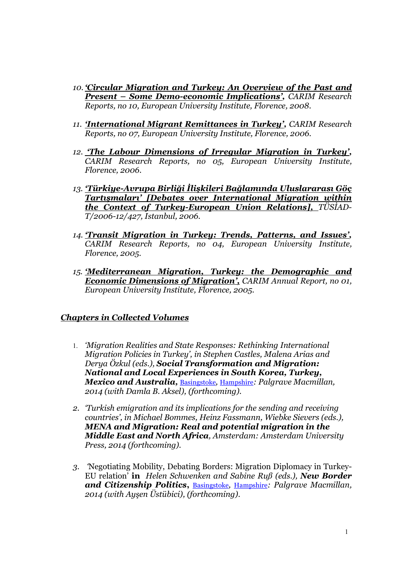- *10. 'Circular Migration and Turkey: An Overview of the Past and Present – Some Demo-economic Implications', CARIM Research Reports, no 10, European University Institute, Florence, 2008.*
- *11. 'International Migrant Remittances in Turkey', CARIM Research Reports, no 07, European University Institute, Florence, 2006.*
- *12. 'The Labour Dimensions of Irregular Migration in Turkey', CARIM Research Reports, no 05, European University Institute, Florence, 2006.*
- *13. 'Türkiye-Avrupa Birliği İlişkileri Bağlamında Uluslararası Göç Tartışmaları' [Debates over International Migration within the Context of Turkey-European Union Relations], TÜSİAD-T/2006-12/427, Istanbul, 2006.*
- *14. 'Transit Migration in Turkey: Trends, Patterns, and Issues', CARIM Research Reports, no 04, European University Institute, Florence, 2005.*
- *15. 'Mediterranean Migration, Turkey: the Demographic and Economic Dimensions of Migration', CARIM Annual Report, no 01, European University Institute, Florence, 2005.*

### *Chapters in Collected Volumes*

- 1. *'Migration Realities and State Responses: Rethinking International Migration Policies in Turkey', in Stephen Castles, Malena Arias and Derya Özkul (eds.), Social Transformation and Migration: National and Local Experiences in South Korea, Turkey, Mexico and Australia,* Basingstoke*,* Hampshire*: Palgrave Macmillan, 2014 (with Damla B. Aksel), (forthcoming).*
- *2. 'Turkish emigration and its implications for the sending and receiving countries', in Michael Bommes, Heinz Fassmann, Wiebke Sievers (eds.), MENA and Migration: Real and potential migration in the Middle East and North Africa, Amsterdam: Amsterdam University Press, 2014 (forthcoming).*
- *3. '*Negotiating Mobility, Debating Borders: Migration Diplomacy in Turkey-EU relation' in *Helen Schwenken and Sabine Ruß (eds.), New Border and Citizenship Politics*, Basingstoke*,* Hampshire*: Palgrave Macmillan, 2014 (with Ayşen Üstübici), (forthcoming).*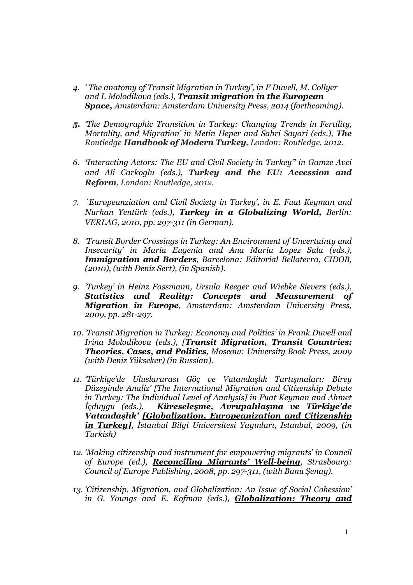- *4. ' The anatomy of Transit Migration in Turkey', in F Duvell, M. Collyer and I. Molodikova (eds.), Transit migration in the European Space, Amsterdam: Amsterdam University Press, 2014 (forthcoming).*
- *5. 'The Demographic Transition in Turkey: Changing Trends in Fertility, Mortality, and Migration' in Metin Heper and Sabri Sayari (eds.), The Routledge Handbook of Modern Turkey, London: Routledge, 2012.*
- *6. 'Interacting Actors: The EU and Civil Society in Turkey'' in Gamze Avci and Ali Carkoglu (eds.), Turkey and the EU: Accession and Reform, London: Routledge, 2012.*
- *7. `Europeanziation and Civil Society in Turkey', in E. Fuat Keyman and Nurhan Yentürk (eds.), Turkey in a Globalizing World, Berlin: VERLAG, 2010, pp. 297-311 (in German).*
- *8. 'Transit Border Crossings in Turkey: An Environment of Uncertainty and Insecurity' in Maria Eugenia and Ana Maria Lopez Sala (eds.), Immigration and Borders, Barcelona: Editorial Bellaterra, CIDOB, (2010), (with Deniz Sert), (in Spanish).*
- *9. 'Turkey' in Heinz Fassmann, Ursula Reeger and Wiebke Sievers (eds.), Statistics and Reality: Concepts and Measurement of Migration in Europe, Amsterdam: Amsterdam University Press, 2009, pp. 281-297.*
- *10. 'Transit Migration in Turkey: Economy and Politics' in Frank Duvell and Irina Molodikova (eds.), [Transit Migration, Transit Countries: Theories, Cases, and Politics, Moscow: University Book Press, 2009 (with Deniz Yükseker) (in Russian).*
- *11. 'Türkiye'de Uluslararası Göç ve Vatandaşlık Tartışmaları: Birey Düzeyinde Analiz' [The International Migration and Citizenship Debate in Turkey: The Individual Level of Analysis] in Fuat Keyman and Ahmet İçduygu (eds.), Küreseleşme, Avrupalılaşma ve Türkiye'de Vatandaşlık' [Globalization, Europeanization and Citizenship in Turkey], İstanbul Bilgi Universitesi Yayınları, Istanbul, 2009, (in Turkish)*
- *12. 'Making citizenship and instrument for empowering migrants' in Council of Europe (ed.), Reconciling Migrants' Well-being, Strasbourg: Council of Europe Publishing, 2008, pp. 297-311, (with Banu Şenay).*
- *13. 'Citizenship, Migration, and Globalization: An Issue of Social Cohession' in G. Youngs and E. Kofman (eds.), Globalization: Theory and*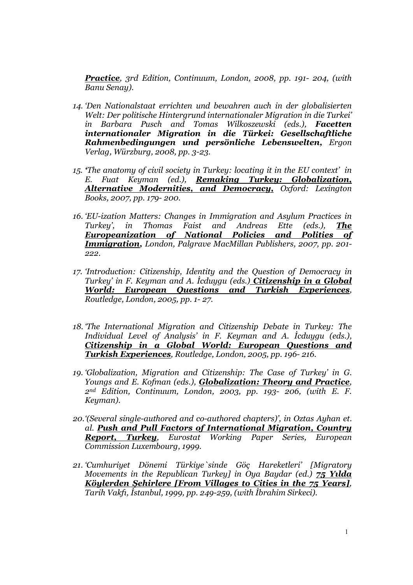*Practice, 3rd Edition, Continuum, London, 2008, pp. 191- 204, (with Banu Senay).*

- *14. 'Den Nationalstaat errichten und bewahren auch in der globalisierten Welt: Der politische Hintergrund internationaler Migration in die Turkei' in Barbara Pusch and Tomas Wilkoszewski (eds.), Facetten internationaler Migration in die Türkei: Gesellschaftliche Rahmenbedingungen und persönliche Lebenswelten, Ergon Verlag, Würzburg, 2008, pp. 3-23.*
- *15. 'The anatomy of civil society in Turkey: locating it in the EU context' in E. Fuat Keyman (ed.), Remaking Turkey: Globalization, Alternative Modernities, and Democracy, Oxford: Lexington Books, 2007, pp. 179- 200.*
- *16. 'EU-ization Matters: Changes in Immigration and Asylum Practices in Turkey', in Thomas Faist and Andreas Ette (eds.), The Europeanization of National Policies and Polities of Immigration, London, Palgrave MacMillan Publishers, 2007, pp. 201- 222.*
- *17. 'Introduction: Citizenship, Identity and the Question of Democracy in Turkey' in F. Keyman and A. İcduygu (eds.) Citizenship in a Global World: European Questions and Turkish Experiences, Routledge, London, 2005, pp. 1- 27.*
- *18. 'The International Migration and Citizenship Debate in Turkey: The Individual Level of Analysis' in F. Keyman and A. İcduygu (eds.), Citizenship in a Global World: European Questions and Turkish Experiences, Routledge, London, 2005, pp. 196- 216.*
- *19. 'Globalization, Migration and Citizenship: The Case of Turkey' in G. Youngs and E. Kofman (eds.), Globalization: Theory and Practice, 2nd Edition, Continuum, London, 2003, pp. 193- 206, (with E. F. Keyman).*
- *20.'(Several single-authored and co-authored chapters)', in Oztas Ayhan et. al. Push and Pull Factors of International Migration, Country Report, Turkey, Eurostat Working Paper Series, European Commission Luxembourg, 1999.*
- *21. 'Cumhuriyet Dönemi Türkiye`sinde Göç Hareketleri' [Migratory Movements in the Republican Turkey] in Oya Baydar (ed.)* **75 Yılda** *Köylerden Şehirlere [From Villages to Cities in the 75 Years], Tarih Vakfı, İstanbul, 1999, pp. 249-259, (with İbrahim Sirkeci).*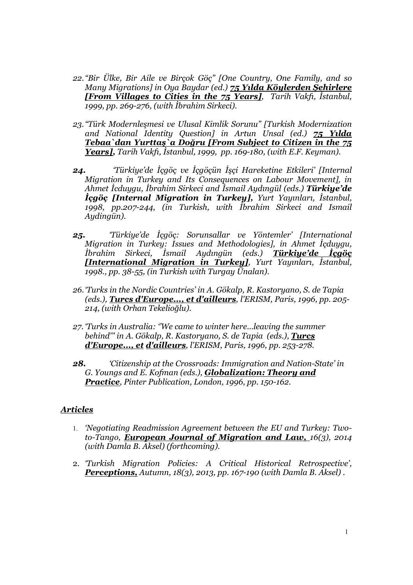- *22."Bir Ülke, Bir Aile ve Birçok Göç" [One Country, One Family, and so Many Migrations] in Oya Baydar (ed.) 75 Yılda Köylerden Şehirlere [From Villages to Cities in the 75 Years], Tarih Vakfı, İstanbul, 1999, pp. 269-276, (with İbrahim Sirkeci).*
- *23."Türk Modernleşmesi ve Ulusal Kimlik Sorunu" [Turkish Modernization and National Identity Question] in Artun Unsal (ed.) 75 Yılda Tebaa`dan Yurttaş`a Doğru [From Subject to Citizen in the 75 Years], Tarih Vakfı, İstanbul, 1999, pp. 169-180, (with E.F. Keyman)*.
- *24. 'Türkiye'de İçgöç ve İçgöçün İşçi Hareketine Etkileri' [Internal Migration in Turkey and Its Consequences on Labour Movement], in Ahmet İcduygu, İbrahim Sirkeci and İsmail Aydıngül (eds.) Türkiye'de İçgöç [Internal Migration in Turkey], Yurt Yayınları, İstanbul, 1998, pp.207-244, (in Turkish, with İbrahim Sirkeci and Ismail Aydingün).*
- *25. 'Türkiye'de İçgöç: Sorunsallar ve Yöntemler' [International Migration in Turkey: Issues and Methodologies], in Ahmet İçduygu, İbrahim Sirkeci, İsmail Aydıngün (eds.) Türkiye'de İçgöç [International Migration in Turkey], Yurt Yayınları, İstanbul, 1998., pp. 38-55, (in Turkish with Turgay Ünalan).*
- *26.'Turks in the Nordic Countries' in A. Gökalp, R. Kastoryano, S. de Tapia (eds.), Turcs d'Europe..., et d'ailleurs, l'ERISM, Paris, 1996, pp. 205- 214, (with Orhan Tekelioğlu).*
- *27. 'Turks in Australia: ''We came to winter here...leaving the summer behind''' in A. Gökalp, R. Kastoryano, S. de Tapia (eds.), Turcs d'Europe..., et d'ailleurs, l'ERISM, Paris, 1996, pp. 253-278.*
- *28. 'Citizenship at the Crossroads: Immigration and Nation-State' in G. Youngs and E. Kofman (eds.), Globalization: Theory and Practice, Pinter Publication, London, 1996, pp. 150-162.*

## *Articles*

- 1. *'Negotiating Readmission Agreement between the EU and Turkey: Twoto-Tango, European Journal of Migration and Law, 16(3), 2014 (with Damla B. Aksel) (forthcoming).*
- 2. *'Turkish Migration Policies: A Critical Historical Retrospective', Perceptions, Autumn, 18(3), 2013, pp. 167-190 (with Damla B. Aksel) .*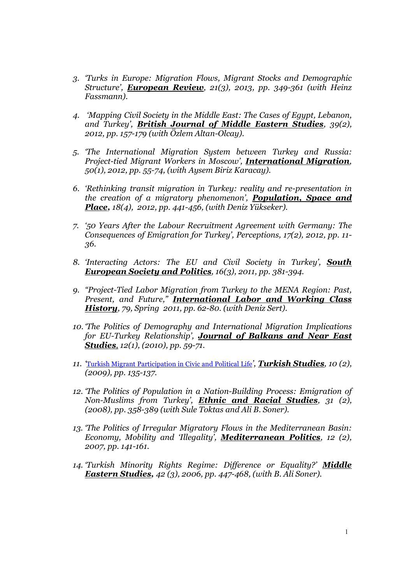- *3. 'Turks in Europe: Migration Flows, Migrant Stocks and Demographic Structure', European Review, 21(3), 2013, pp. 349-361 (with Heinz Fassmann).*
- *4. 'Mapping Civil Society in the Middle East: The Cases of Egypt, Lebanon, and Turkey', British Journal of Middle Eastern Studies, 39(2), 2012, pp. 157-179 (with Özlem Altan-Olcay).*
- *5. 'The International Migration System between Turkey and Russia: Project-tied Migrant Workers in Moscow', International Migration, 50(1), 2012, pp. 55-74, (with Aysem Biriz Karacay).*
- *6. 'Rethinking transit migration in Turkey: reality and re-presentation in the creation of a migratory phenomenon', Population, Space and Place, 18(4), 2012, pp. 441-456, (with Deniz Yükseker).*
- *7. '50 Years After the Labour Recruitment Agreement with Germany: The Consequences of Emigration for Turkey', Perceptions, 17(2), 2012, pp. 11- 36.*
- *8. 'Interacting Actors: The EU and Civil Society in Turkey', South European Society and Politics, 16(3), 2011, pp. 381-394.*
- *9. "Project-Tied Labor Migration from Turkey to the MENA Region: Past, Present, and Future," International Labor and Working Class History, 79, Spring 2011, pp. 62-80. (with Deniz Sert).*
- *10. 'The Politics of Demography and International Migration Implications for EU-Turkey Relationship', Journal of Balkans and Near East Studies, 12(1), (2010), pp. 59-71.*
- *11. '*Turkish Migrant Participation in Civic and Political Life*', Turkish Studies, 10 (2), (2009), pp. 135-137.*
- *12. 'The Politics of Population in a Nation-Building Process: Emigration of Non-Muslims from Turkey', Ethnic and Racial Studies, 31 (2), (2008), pp. 358-389 (with Sule Toktas and Ali B. Soner).*
- *13. 'The Politics of Irregular Migratory Flows in the Mediterranean Basin: Economy, Mobility and 'Illegality', Mediterranean Politics, 12 (2), 2007, pp. 141-161.*
- *14. 'Turkish Minority Rights Regime: Difference or Equality?' Middle Eastern Studies, 42 (3), 2006, pp. 447-468, (with B. Ali Soner).*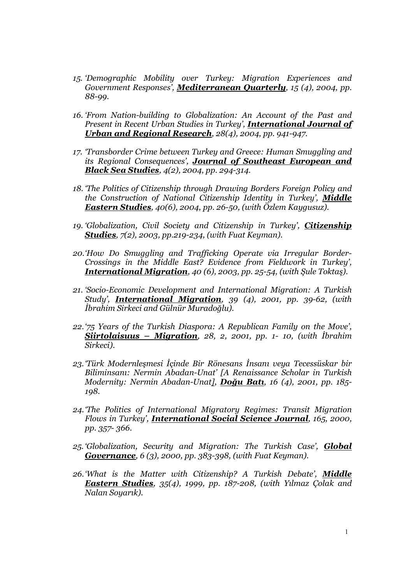- *15. 'Demographic Mobility over Turkey: Migration Experiences and Government Responses', Mediterranean Quarterly, 15 (4), 2004, pp. 88-99.*
- *16. 'From Nation-building to Globalization: An Account of the Past and Present in Recent Urban Studies in Turkey', International Journal of Urban and Regional Research, 28(4), 2004, pp. 941-947.*
- *17. 'Transborder Crime between Turkey and Greece: Human Smuggling and its Regional Consequences', Journal of Southeast European and Black Sea Studies, 4(2), 2004, pp. 294-314.*
- *18. 'The Politics of Citizenship through Drawing Borders Foreign Policy and the Construction of National Citizenship Identity in Turkey', Middle Eastern Studies, 40(6), 2004, pp. 26-50, (with Özlem Kaygusuz).*
- *19. 'Globalization, Civil Society and Citizenship in Turkey', Citizenship Studies, 7(2), 2003, pp.219-234, (with Fuat Keyman).*
- *20.'How Do Smuggling and Trafficking Operate via Irregular Border-Crossings in the Middle East? Evidence from Fieldwork in Turkey', International Migration, 40 (6), 2003, pp. 25-54, (with Şule Toktaş).*
- *21. 'Socio-Economic Development and International Migration: A Turkish Study', International Migration, 39 (4), 2001, pp. 39-62, (with İbrahim Sirkeci and Gülnür Muradoğlu).*
- *22.'75 Years of the Turkish Diaspora: A Republican Family on the Move', Siirtolaisuus – Migration, 28, 2, 2001, pp. 1- 10, (with İbrahim Sirkeci).*
- *23.'Türk Modernleşmesi İçinde Bir Rönesans İnsanı veya Tecessüskar bir Biliminsanı: Nermin Abadan-Unat' [A Renaissance Scholar in Turkish Modernity: Nermin Abadan-Unat]*, *Doğu Batı, 16 (4), 2001, pp. 185- 198.*
- *24.'The Politics of International Migratory Regimes: Transit Migration Flows in Turkey', International Social Science Journal, 165, 2000, pp. 357- 366.*
- *25. 'Globalization, Security and Migration: The Turkish Case', Global Governance, 6 (3), 2000, pp. 383-398, (with Fuat Keyman).*
- *26.'What is the Matter with Citizenship? A Turkish Debate', Middle Eastern Studies, 35(4), 1999, pp. 187-208, (with Yılmaz Çolak and Nalan Soyarık).*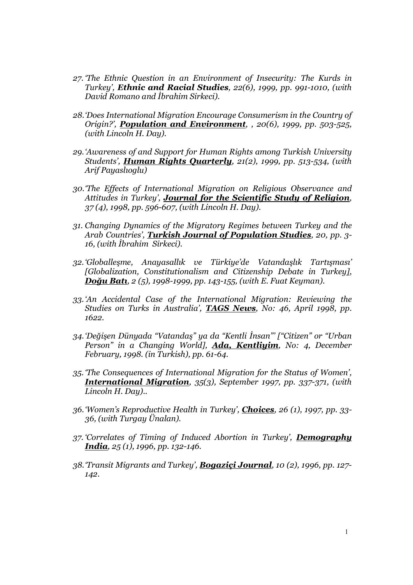- *27. 'The Ethnic Question in an Environment of Insecurity: The Kurds in Turkey', Ethnic and Racial Studies, 22(6), 1999, pp. 991-1010, (with David Romano and İbrahim Sirkeci).*
- *28.'Does International Migration Encourage Consumerism in the Country of Origin?', Population and Environment, , 20(6), 1999, pp. 503-525, (with Lincoln H. Day).*
- *29.'Awareness of and Support for Human Rights among Turkish University Students', Human Rights Quarterly, 21(2), 1999, pp. 513-534, (with Arif Payaslıoglu)*
- *30.'The Effects of International Migration on Religious Observance and Attitudes in Turkey', Journal for the Scientific Study of Religion, 37 (4), 1998, pp. 596-607, (with Lincoln H. Day).*
- *31. Changing Dynamics of the Migratory Regimes between Turkey and the Arab Countries', Turkish Journal of Population Studies, 20, pp. 3- 16, (with İbrahim Sirkeci).*
- *32.'Globalleşme, Anayasallık ve Türkiye'de Vatandaşlık Tartışması' [Globalization, Constitutionalism and Citizenship Debate in Turkey]*, *Doğu Batı, 2 (5), 1998-1999, pp. 143-155, (with E. Fuat Keyman).*
- *33.'An Accidental Case of the International Migration: Reviewing the Studies on Turks in Australia', TAGS News, No: 46, April 1998, pp. 1622.*
- *34.'Değişen Dünyada "Vatandaş" ya da "Kentli İnsan"' ["Citizen" or "Urban Person" in a Changing World], Ada, Kentliyim, No: 4, December February, 1998. (in Turkish), pp. 61-64.*
- *35. 'The Consequences of International Migration for the Status of Women', International Migration, 35(3), September 1997, pp. 337-371, (with Lincoln H. Day)..*
- *36.'Women's Reproductive Health in Turkey', Choices, 26 (1), 1997, pp. 33- 36, (with Turgay Ünalan).*
- *37. 'Correlates of Timing of Induced Abortion in Turkey', Demography India, 25 (1), 1996, pp. 132-146.*
- *38.'Transit Migrants and Turkey', Bogaziçi Journal, 10 (2), 1996, pp. 127- 142.*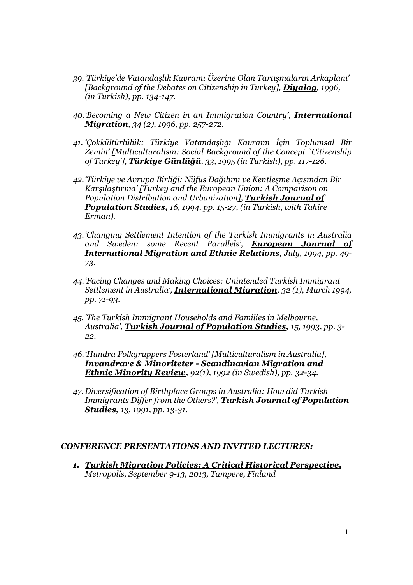- *39.'Türkiye'de Vatandaşlık Kavramı Üzerine Olan Tartışmaların Arkaplanı' [Background of the Debates on Citizenship in Turkey], Diyalog, 1996, (in Turkish), pp. 134-147.*
- *40.'Becoming a New Citizen in an Immigration Country', International Migration, 34 (2), 1996, pp. 257-272.*
- *41. 'Çokkültürlülük: Türkiye Vatandaşlığı Kavramı İçin Toplumsal Bir Zemin' [Multiculturalism: Social Background of the Concept `Citizenship of Turkey'], Türkiye Günlüğü, 33, 1995 (in Turkish), pp. 117-126.*
- *42.'Türkiye ve Avrupa Birliği: Nüfus Dağılımı ve Kentleşme Açısından Bir Karşılaştırma' [Turkey and the European Union: A Comparison on Population Distribution and Urbanization], Turkish Journal of Population Studies, 16, 1994, pp. 15-27, (in Turkish, with Tahire Erman).*
- *43.'Changing Settlement Intention of the Turkish Immigrants in Australia and Sweden: some Recent Parallels', European Journal of International Migration and Ethnic Relations, July, 1994, pp. 49- 73.*
- *44.'Facing Changes and Making Choices: Unintended Turkish Immigrant Settlement in Australia', International Migration, 32 (1), March 1994, pp. 71-93.*
- *45. 'The Turkish Immigrant Households and Families in Melbourne, Australia', Turkish Journal of Population Studies, 15, 1993, pp. 3- 22.*
- *46.'Hundra Folkgruppers Fosterland' [Multiculturalism in Australia], Invandrare & Minoriteter - Scandinavian Migration and Ethnic Minority Review, 92(1), 1992 (in Swedish), pp. 32-34.*
- *47. Diversification of Birthplace Groups in Australia: How did Turkish Immigrants Differ from the Others?', Turkish Journal of Population Studies, 13, 1991, pp. 13-31.*

### *CONFERENCE PRESENTATIONS AND INVITED LECTURES:*

*1. Turkish Migration Policies: A Critical Historical Perspective, Metropolis, September 9-13, 2013, Tampere, Finland*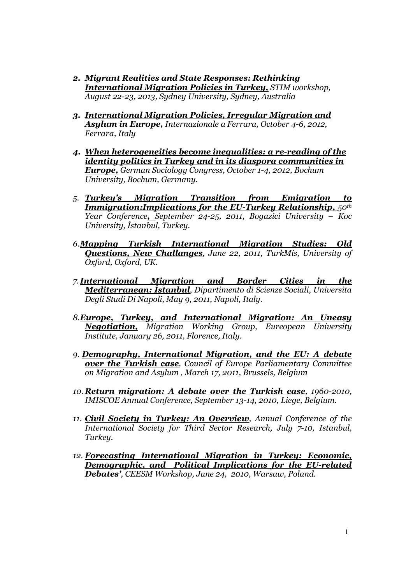- *2. Migrant Realities and State Responses: Rethinking International Migration Policies in Turkey, STIM workshop, August 22-23, 2013, Sydney University, Sydney, Australia*
- *3. International Migration Policies, Irregular Migration and Asylum in Europe, Internazionale a Ferrara, October 4-6, 2012, Ferrara, Italy*
- *4. When heterogeneities become inequalities: a re-reading of the identity politics in Turkey and in its diaspora communities in Europe, German Sociology Congress, October 1-4, 2012, Bochum University, Bochum, Germany.*
- *5. Turkey's Migration Transition from Emigration to Immigration:Implications for the EU-Turkey Relationship,*  $50^{th}$ *Year Conference, September 24-25, 2011, Bogazici University – Koc University, İstanbul, Turkey.*
- *6.Mapping Turkish International Migration Studies: Old Questions, New Challanges, June 22, 2011, TurkMis, University of Oxford, Oxford, UK.*
- *7. International Migration and Border Cities in the Mediterranean: İstanbul, Dipartimento di Scienze Sociali, Universita Degli Studi Di Napoli, May 9, 2011, Napoli, Italy.*
- *8.Europe, Turkey, and International Migration: An Uneasy Negotiation, Migration Working Group, Eureopean University Institute, January 26, 2011, Florence, Italy.*
- *9. Demography, International Migration, and the EU: A debate over the Turkish case, Council of Europe Parliamentary Committee on Migration and Asylum , March 17, 2011, Brussels, Belgium*
- *10. Return migration: A debate over the Turkish case, 1960-2010, IMISCOE Annual Conference, September 13-14, 2010, Liege, Belgium.*
- *11. Civil Society in Turkey: An Overview, Annual Conference of the International Society for Third Sector Research, July 7-10, Istanbul, Turkey.*
- *12. Forecasting International Migration in Turkey: Economic, Demographic, and Political Implications for the EU-related Debates', CEESM Workshop, June 24, 2010, Warsaw, Poland.*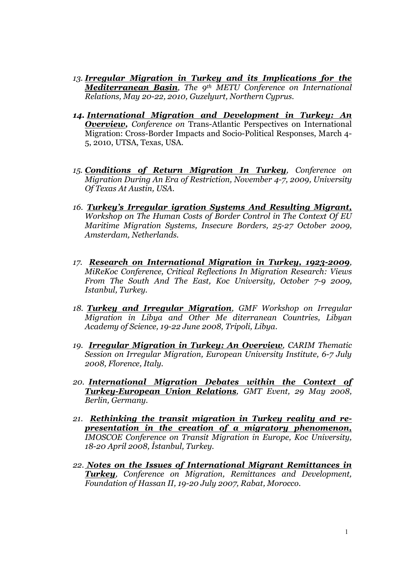- *13. Irregular Migration in Turkey and its Implications for the Mediterranean Basin, The 9th METU Conference on International Relations, May 20-22, 2010, Guzelyurt, Northern Cyprus.*
- *14. International Migration and Development in Turkey: An Overview, Conference on* Trans-Atlantic Perspectives on International Migration: Cross-Border Impacts and Socio-Political Responses, March 4- 5, 2010, UTSA, Texas, USA.
- *15. Conditions of Return Migration In Turkey, Conference on Migration During An Era of Restriction, November 4-7, 2009, University Of Texas At Austin, USA.*
- *16. Turkey's Irregular igration Systems And Resulting Migrant, Workshop on The Human Costs of Border Control in The Context Of EU Maritime Migration Systems, Insecure Borders, 25-27 October 2009, Amsterdam, Netherlands.*
- *17. Research on International Migration in Turkey, 1923-2009, MiReKoc Conference, Critical Reflections In Migration Research: Views From The South And The East, Koc University, October 7-9 2009, Istanbul, Turkey.*
- *18. Turkey and Irregular Migration, GMF Workshop on Irregular Migration in Libya and Other Me diterranean Countries, Libyan Academy of Science, 19-22 June 2008, Tripoli, Libya.*
- *19. Irregular Migration in Turkey: An Overview, CARIM Thematic Session on Irregular Migration, European University Institute, 6-7 July 2008, Florence, Italy.*
- *20. International Migration Debates within the Context of Turkey-European Union Relations, GMT Event, 29 May 2008, Berlin, Germany.*
- *21. Rethinking the transit migration in Turkey reality and representation in the creation of a migratory phenomenon, IMOSCOE Conference on Transit Migration in Europe, Koc University, 18-20 April 2008, İstanbul, Turkey.*
- *22. Notes on the Issues of International Migrant Remittances in Turkey, Conference on Migration, Remittances and Development, Foundation of Hassan II, 19-20 July 2007, Rabat, Morocco.*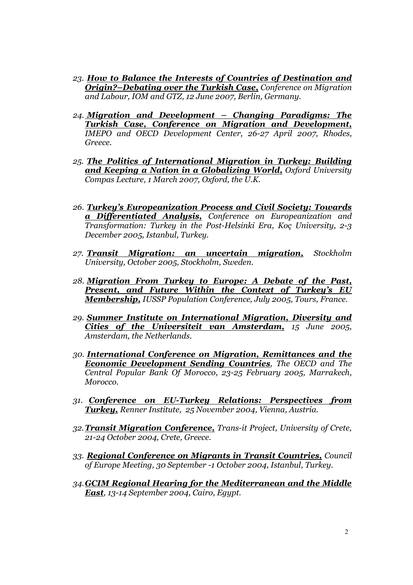- *23. How to Balance the Interests of Countries of Destination and Origin?–Debating over the Turkish Case, Conference on Migration and Labour, IOM and GTZ, 12 June 2007, Berlin, Germany.*
- *24. Migration and Development – Changing Paradigms: The Turkish Case, Conference on Migration and Development, IMEPO and OECD Development Center, 26-27 April 2007, Rhodes, Greece.*
- *25. The Politics of International Migration in Turkey: Building and Keeping a Nation in a Globalizing World, Oxford University Compas Lecture, 1 March 2007, Oxford, the U.K.*
- *26. Turkey's Europeanization Process and Civil Society: Towards a Differentiated Analysis, Conference on Europeanization and Transformation: Turkey in the Post-Helsinki Era, Koç University, 2-3 December 2005, Istanbul, Turkey.*
- *27. Transit Migration: an uncertain migration, Stockholm University, October 2005, Stockholm, Sweden.*
- *28. Migration From Turkey to Europe: A Debate of the Past, Present, and Future Within the Context of Turkey's EU Membership, IUSSP Population Conference, July 2005, Tours, France.*
- *29. Summer Institute on International Migration, Diversity and Cities of the Universiteit van Amsterdam, 15 June 2005, Amsterdam, the Netherlands.*
- *30. International Conference on Migration, Remittances and the Economic Development Sending Countries, The OECD and The Central Popular Bank Of Morocco, 23-25 February 2005, Marrakech, Morocco.*
- *31. Conference on EU-Turkey Relations: Perspectives from Turkey, Renner Institute, 25 November 2004, Vienna, Austria.*
- *32.Transit Migration Conference, Trans-it Project, University of Crete, 21-24 October 2004, Crete, Greece.*
- *33. Regional Conference on Migrants in Transit Countries, Council of Europe Meeting, 30 September -1 October 2004, Istanbul, Turkey.*
- *34.GCIM Regional Hearing for the Mediterranean and the Middle East, 13-14 September 2004, Cairo, Egypt.*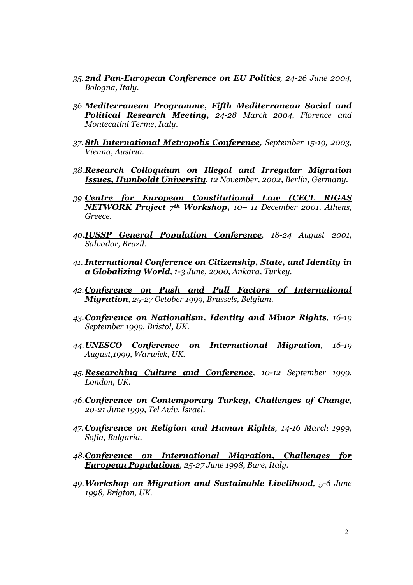- *35.2nd Pan-European Conference on EU Politics, 24-26 June 2004, Bologna, Italy.*
- *36.Mediterranean Programme, Fifth Mediterranean Social and Political Research Meeting, 24-28 March 2004, Florence and Montecatini Terme, Italy.*
- *37. 8th International Metropolis Conference, September 15-19, 2003, Vienna, Austria.*
- *38.Research Colloquium on Illegal and Irregular Migration Issues, Humboldt University, 12 November, 2002, Berlin, Germany.*
- *39.Centre for European Constitutional Law (CECL RIGAS NETWORK Project 7th Workshop, 10– 11 December 2001, Athens, Greece.*
- *40.IUSSP General Population Conference, 18-24 August 2001, Salvador, Brazil.*
- *41. International Conference on Citizenship, State, and Identity in a Globalizing World, 1-3 June, 2000, Ankara, Turkey.*
- *42.Conference on Push and Pull Factors of International Migration, 25-27 October 1999, Brussels, Belgium.*
- *43.Conference on Nationalism, Identity and Minor Rights, 16-19 September 1999, Bristol, UK.*
- *44.UNESCO Conference on International Migration, 16-19 August,1999, Warwick, UK.*
- *45.Researching Culture and Conference, 10-12 September 1999, London, UK.*
- *46.Conference on Contemporary Turkey, Challenges of Change, 20-21 June 1999, Tel Aviv, Israel.*
- *47. Conference on Religion and Human Rights, 14-16 March 1999, Sofia, Bulgaria.*
- *48.Conference on International Migration, Challenges for European Populations, 25-27 June 1998, Bare, Italy.*
- *49.Workshop on Migration and Sustainable Livelihood, 5-6 June 1998, Brigton, UK.*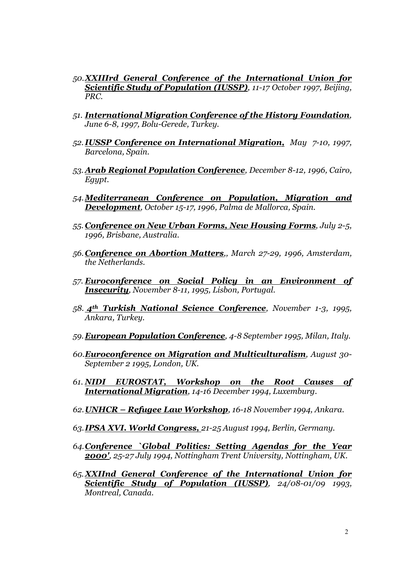- *50.XXIIIrd General Conference of the International Union for Scientific Study of Population (IUSSP), 11-17 October 1997, Beijing, PRC.*
- *51. International Migration Conference of the History Foundation, June 6-8, 1997, Bolu-Gerede, Turkey.*
- *52. IUSSP Conference on International Migration, May 7-10, 1997, Barcelona, Spain.*
- *53. Arab Regional Population Conference, December 8-12, 1996, Cairo, Egypt.*
- *54.Mediterranean Conference on Population, Migration and Development, October 15-17, 1996, Palma de Mallorca, Spain.*
- *55. Conference on New Urban Forms, New Housing Forms, July 2-5, 1996, Brisbane, Australia.*
- *56.Conference on Abortion Matters,, March 27-29, 1996, Amsterdam, the Netherlands.*
- *57. Euroconference on Social Policy in an Environment of Insecurity, November 8-11, 1995, Lisbon, Portugal.*
- *58. 4th Turkish National Science Conference, November 1-3, 1995, Ankara, Turkey.*
- *59.European Population Conference, 4-8 September 1995, Milan, Italy.*
- *60.Euroconference on Migration and Multiculturalism, August 30- September 2 1995, London, UK.*
- *61. NIDI EUROSTAT, Workshop on the Root Causes of International Migration, 14-16 December 1994, Luxemburg.*
- *62.UNHCR – Refugee Law Workshop, 16-18 November 1994, Ankara.*
- *63.IPSA XVI. World Congress, 21-25 August 1994, Berlin, Germany.*
- *64.Conference `Global Politics: Setting Agendas for the Year 2000', 25-27 July 1994, Nottingham Trent University, Nottingham, UK.*
- *65. XXIInd General Conference of the International Union for Scientific Study of Population (IUSSP), 24/08-01/09 1993, Montreal, Canada.*